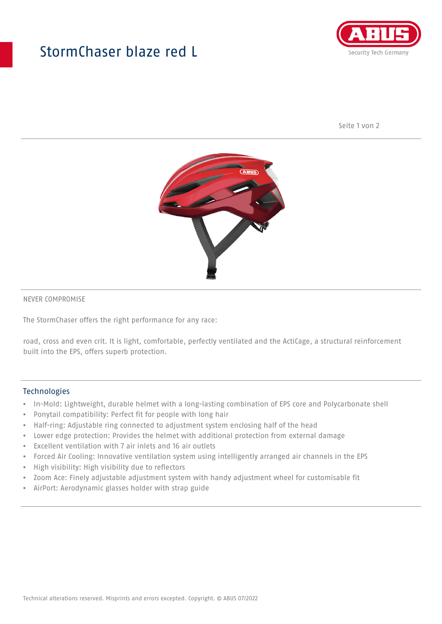## StormChaser blaze red L



Seite 1 von 2



#### NEVER COMPROMISE

The StormChaser offers the right performance for any race:

road, cross and even crit. It is light, comfortable, perfectly ventilated and the ActiCage, a structural reinforcement built into the EPS, offers superb protection.

#### **Technologies**

- In-Mold: Lightweight, durable helmet with a long-lasting combination of EPS core and Polycarbonate shell
- Ponytail compatibility: Perfect fit for people with long hair
- Half-ring: Adjustable ring connected to adjustment system enclosing half of the head
- Lower edge protection: Provides the helmet with additional protection from external damage
- Excellent ventilation with 7 air inlets and 16 air outlets
- Forced Air Cooling: Innovative ventilation system using intelligently arranged air channels in the EPS
- High visibility: High visibility due to reflectors
- Zoom Ace: Finely adjustable adjustment system with handy adjustment wheel for customisable fit
- AirPort: Aerodynamic glasses holder with strap guide